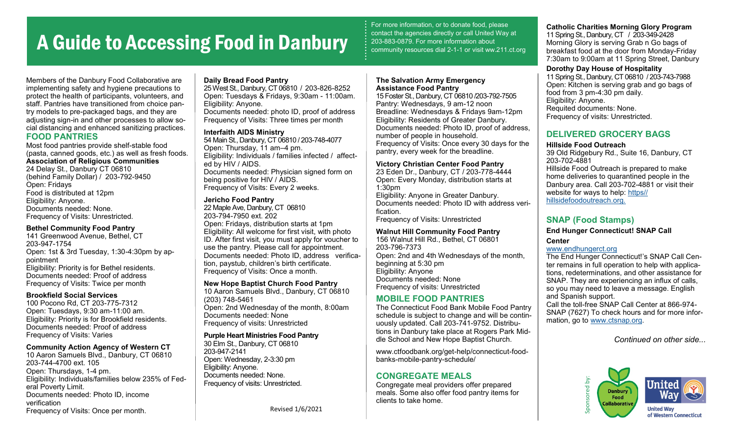# A Guide to Accessing Food in Danbury

For more information, or to donate food, please contact the agencies directly or call United Way at 203-883-0879. For more information about community resources dial 2-1-1 or visit ww.211.ct.org

**Catholic Charities Morning Glory Program** 11 Spring St., Danbury, CT / 203-349-2428 Morning Glory is serving Grab n Go bags of breakfast food at the door from Monday-Friday 7:30am to 9:00am at 11 Spring Street, Danbury

11 Spring St., Danbury, CT 06810 / 203-743-7988 Open: Kitchen is serving grab and go bags of

#### Members of the Danbury Food Collaborative are implementing safety and hygiene precautions to protect the health of participants, volunteers, and staff. Pantries have transitioned from choice pantry models to pre-packaged bags, and they are adjusting sign-in and other processes to allow social distancing and enhanced sanitizing practices. **FOOD PANTRIES**

Most food pantries provide shelf-stable food (pasta, canned goods, etc.) as well as fresh foods. **Association of Religious Communities** 24 Delay St., Danbury CT 06810 (behind Family Dollar) / 203-792-9450 Open: Fridays Food is distributed at 12pm Eligibility: Anyone. Documents needed: None. Frequency of Visits: Unrestricted.

## **Bethel Community Food Pantry**

141 Greenwood Avenue, Bethel, CT 203-947-1754 Open: 1st & 3rd Tuesday, 1:30-4:30pm by appointment Eligibility: Priority is for Bethel residents. Documents needed: Proof of address Frequency of Visits: Twice per month

## **Brookfield Social Services**

100 Pocono Rd, CT 203-775-7312 Open: Tuesdays, 9:30 am-11:00 am. Eligibility: Priority is for Brookfield residents. Documents needed: Proof of address Frequency of Visits: Varies

## **Community Action Agency of Western CT**

10 Aaron Samuels Blvd., Danbury, CT 06810 203-744-4700 ext. 105 Open: Thursdays, 1-4 pm. Eligibility: Individuals/families below 235% of Federal Poverty Limit. Documents needed: Photo ID, income verification Frequency of Visits: Once per month.

## **Daily Bread Food Pantry**

25 West St., Danbury, CT 06810 / 203-826-8252 Open: Tuesdays & Fridays, 9:30am - 11:00am. Eligibility: Anyone. Documents needed: photo ID, proof of address Frequency of Visits: Three times per month

#### **Interfaith AIDS Ministry**

54 Main St., Danbury, CT 06810 / 203-748-4077 Open: Thursday, 11 am–4 pm. Eligibility: Individuals / families infected / affected by HIV / AIDS. Documents needed: Physician signed form on being positive for HIV / AIDS. Frequency of Visits: Every 2 weeks.

## **Jericho Food Pantry**

22 Maple Ave, Danbury, CT 06810 203-794-7950 ext. 202 Open: Fridays, distribution starts at 1pm Eligibility: All welcome for first visit, with photo ID. After first visit, you must apply for voucher to use the pantry. Please call for appointment. Documents needed: Photo ID, address verification, paystub, children's birth certificate. Frequency of Visits: Once a month.

#### **New Hope Baptist Church Food Pantry**

10 Aaron Samuels Blvd., Danbury, CT 06810 (203) 748-5461 Open: 2nd Wednesday of the month, 8:00am Documents needed: None Frequency of visits: Unrestricted

# **Purple Heart Ministries Food Pantry**

30 Elm St., Danbury, CT 06810 203-947-2141 Open: Wednesday, 2-3:30 pm Eligibility: Anyone. Documents needed: None. Frequency of visits: Unrestricted.

Revised 1/6/2021

#### **The Salvation Army Emergency Assistance Food Pantry**

15 Foster St., Danbury, CT 06810 /203-792-7505 Pantry: Wednesdays, 9 am-12 noon Breadline: Wednesdays & Fridays 9am-12pm Eligibility: Residents of Greater Danbury. Documents needed: Photo ID, proof of address, number of people in household. Frequency of Visits: Once every 30 days for the pantry, every week for the breadline.

#### **Victory Christian Center Food Pantry**

23 Eden Dr., Danbury, CT / 203-778-4444 Open: Every Monday, distribution starts at 1:30pm Eligibility: Anyone in Greater Danbury. Documents needed: Photo ID with address verification.

Frequency of Visits: Unrestricted

## **Walnut Hill Community Food Pantry**

156 Walnut Hill Rd., Bethel, CT 06801 203-796-7373 Open: 2nd and 4th Wednesdays of the month, beginning at 5:30 pm Eligibility: Anyone Documents needed: None Frequency of visits: Unrestricted

# **MOBILE FOOD PANTRIES**

The Connecticut Food Bank Mobile Food Pantry schedule is subject to change and will be continuously updated. Call 203-741-9752. Distributions in Danbury take place at Rogers Park Middle School and New Hope Baptist Church.

www.ctfoodbank.org/get-help/connecticut-foodbanks-mobile-pantry-schedule/

## **CONGREGATE MEALS**

Congregate meal providers offer prepared meals. Some also offer food pantry items for clients to take home.

**DELIVERED GROCERY BAGS**

**Dorothy Day House of Hospitality**

# **Hillside Food Outreach**

food from 3 pm-4:30 pm daily.

Requited documents: None. Frequency of visits: Unrestricted.

Eligibility: Anyone.

39 Old Ridgebury Rd., Suite 16, Danbury, CT 203-702-4881 Hillside Food Outreach is prepared to make home deliveries to quarantined people in the Danbury area. Call 203-702-4881 or visit their website for ways to help: [https//](https://hillsidefoodoutreach.org/) [hillsidefoodoutreach.org.](https://hillsidefoodoutreach.org/)

# **SNAP (Food Stamps)**

**End Hunger Connecticut! SNAP Call** 

## **Center**

[www.endhungerct.org](https://www.endhungerct.org/)

The End Hunger Connecticut!'s SNAP Call Center remains in full operation to help with applications, redeterminations, and other assistance for SNAP. They are experiencing an influx of calls, so you may need to leave a message. English and Spanish support. Call the toll-free SNAP Call Center at 866-974- SNAP (7627) To check hours and for more information, go to [www.ctsnap.org.](http://ctsnap.org/)

*Continued on other side...*